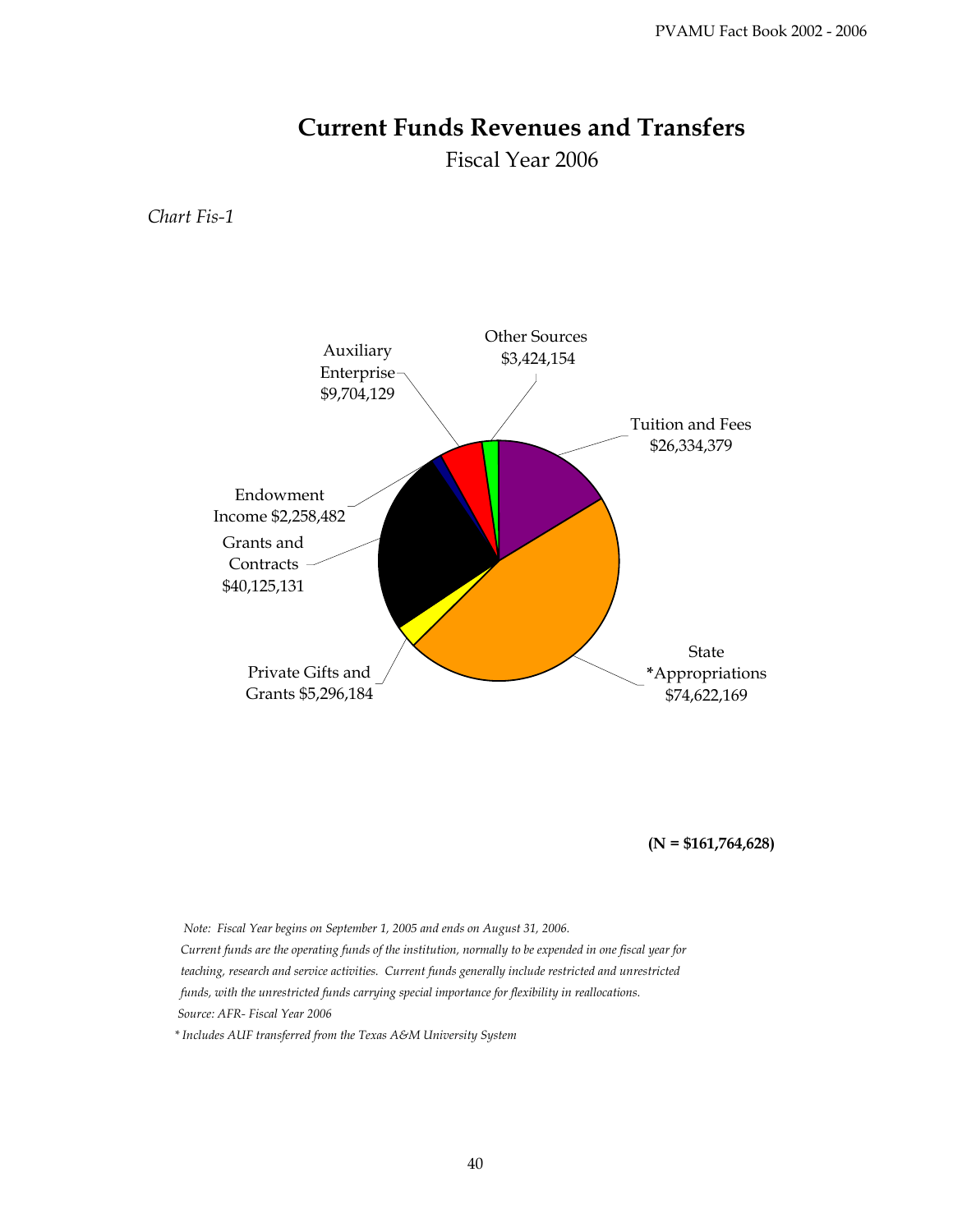## **Current Funds Revenues and Transfers**

Fiscal Year 2006

*Chart Fis-1*



**(N = \$161,764,628)**

 *Note: Fiscal Year begins on September 1, 2005 and ends on August 31, 2006.*

 *Current funds are the operating funds of the institution, normally to be expended in one fiscal year for teaching, research and service activities. Current funds generally include restricted and unrestricted funds, with the unrestricted funds carrying special importance for flexibility in reallocations. Source: AFR- Fiscal Year 2006*

 *\* Includes AUF transferred from the Texas A&M University System*